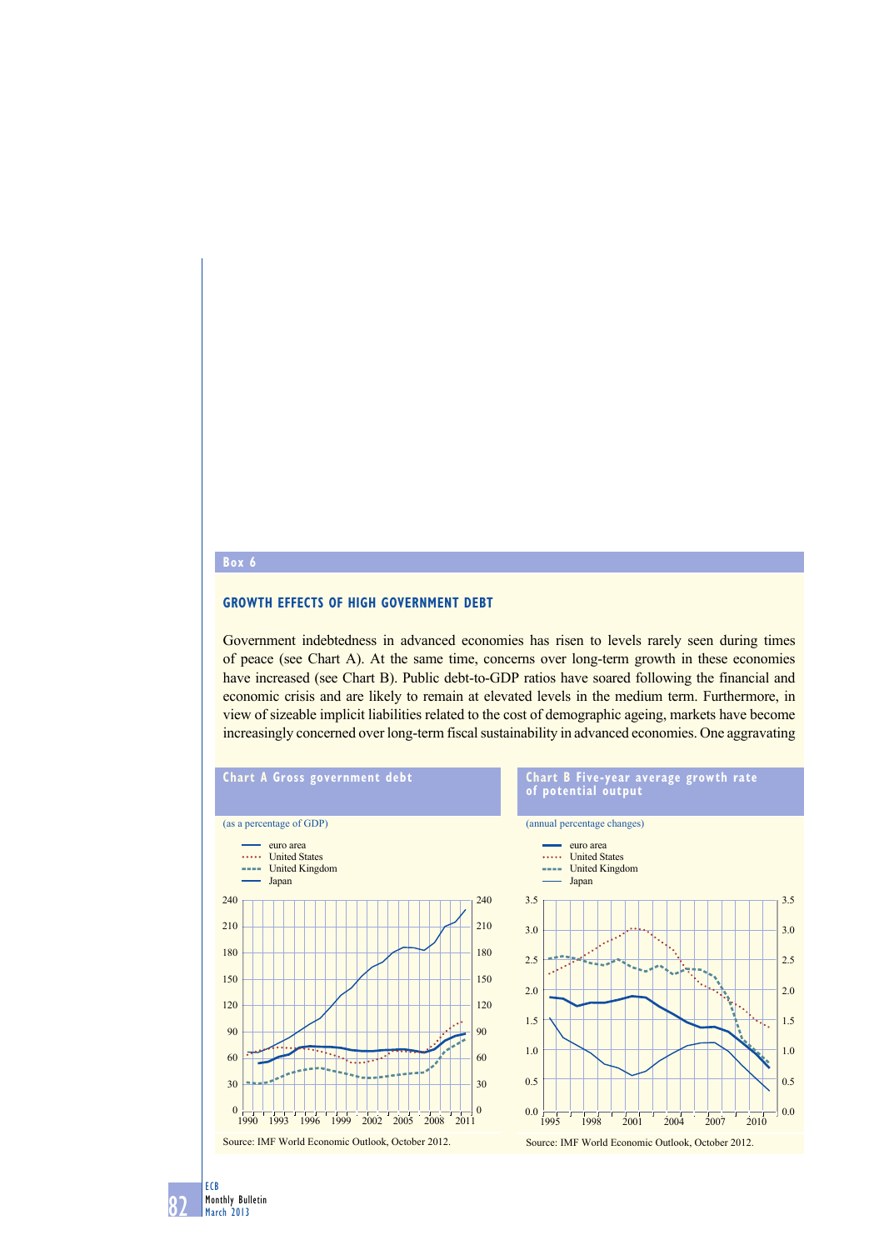## **box 6**

## **GROWTH EFFECTS OF HIGH GOVERNMENT DEBT**

Government indebtedness in advanced economies has risen to levels rarely seen during times of peace (see Chart A). At the same time, concerns over long-term growth in these economies have increased (see Chart B). Public debt-to-GDP ratios have soared following the financial and economic crisis and are likely to remain at elevated levels in the medium term. Furthermore, in view of sizeable implicit liabilities related to the cost of demographic ageing, markets have become increasingly concerned over long-term fiscal sustainability in advanced economies. One aggravating



82 Monthly Bulletin March 2013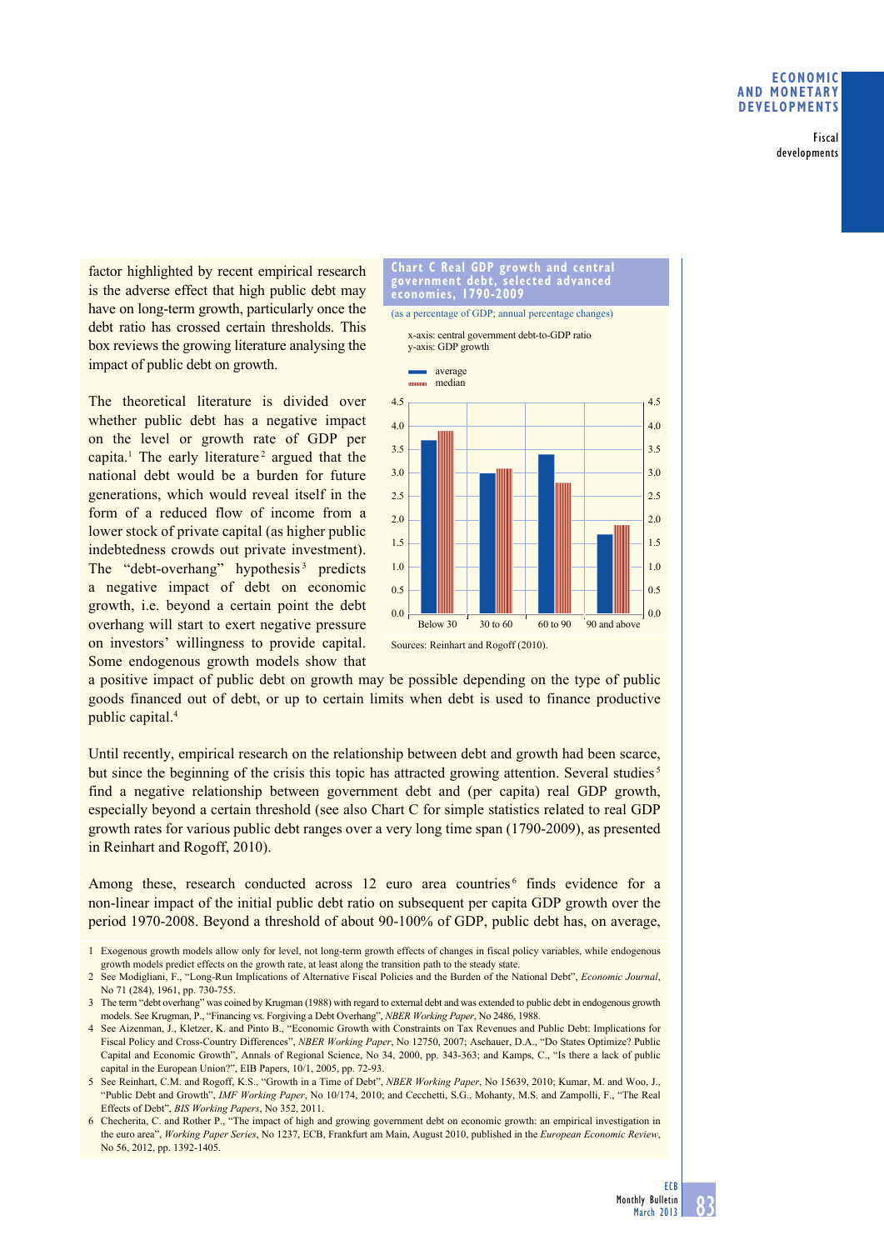Fiscal developments

factor highlighted by recent empirical research is the adverse effect that high public debt may have on long-term growth, particularly once the debt ratio has crossed certain thresholds. This box reviews the growing literature analysing the impact of public debt on growth.

The theoretical literature is divided over whether public debt has a negative impact on the level or growth rate of GDP per capita.<sup>1</sup> The early literature<sup>2</sup> argued that the national debt would be a burden for future generations, which would reveal itself in the form of a reduced flow of income from a lower stock of private capital (as higher public indebtedness crowds out private investment). The "debt-overhang" hypothesis<sup>3</sup> predicts a negative impact of debt on economic growth, i.e. beyond a certain point the debt overhang will start to exert negative pressure on investors' willingness to provide capital. Some endogenous growth models show that



a positive impact of public debt on growth may be possible depending on the type of public goods financed out of debt, or up to certain limits when debt is used to finance productive public capital.4

Until recently, empirical research on the relationship between debt and growth had been scarce, but since the beginning of the crisis this topic has attracted growing attention. Several studies<sup>5</sup> find a negative relationship between government debt and (per capita) real GDP growth, especially beyond a certain threshold (see also Chart C for simple statistics related to real GDP growth rates for various public debt ranges over a very long time span (1790-2009), as presented in Reinhart and Rogoff, 2010).

Among these, research conducted across 12 euro area countries<sup>6</sup> finds evidence for a non-linear impact of the initial public debt ratio on subsequent per capita GDP growth over the period 1970-2008. Beyond a threshold of about 90-100% of GDP, public debt has, on average,

2 See Modigliani, F., "Long-Run Implications of Alternative Fiscal Policies and the Burden of the National Debt", *Economic Journal*, No 71 (284), 1961, pp. 730-755.

3 The term "debt overhang" was coined by Krugman (1988) with regard to external debt and was extended to public debt in endogenous growth models. See Krugman, P., "Financing vs. Forgiving a Debt Overhang", *NBER Working Paper*, No 2486, 1988.

4 See Aizenman, J., Kletzer, K. and Pinto B., "Economic Growth with Constraints on Tax Revenues and Public Debt: Implications for Fiscal Policy and Cross-Country Differences", *NBER Working Paper*, No 12750, 2007; Aschauer, D.A., "Do States Optimize? Public Capital and Economic Growth", Annals of Regional Science, No 34, 2000, pp. 343-363; and Kamps, C., "Is there a lack of public capital in the European Union?", EIB Papers, 10/1, 2005, pp. 72-93.

5 See Reinhart, C.M. and Rogoff, K.S., "Growth in a Time of Debt", *NBER Working Paper*, No 15639, 2010; Kumar, M. and Woo, J., "Public Debt and Growth", *IMF Working Paper*, No 10/174, 2010; and Cecchetti, S.G., Mohanty, M.S. and Zampolli, F., "The Real Effects of Debt", *BIS Working Papers*, No 352, 2011.

6 Checherita, C. and Rother P., "The impact of high and growing government debt on economic growth: an empirical investigation in the euro area", *Working Paper Series*, No 1237, ECB, Frankfurt am Main, August 2010, published in the *European Economic Review*, No 56, 2012, pp. 1392-1405.

<sup>1</sup> Exogenous growth models allow only for level, not long-term growth effects of changes in fiscal policy variables, while endogenous growth models predict effects on the growth rate, at least along the transition path to the steady state.